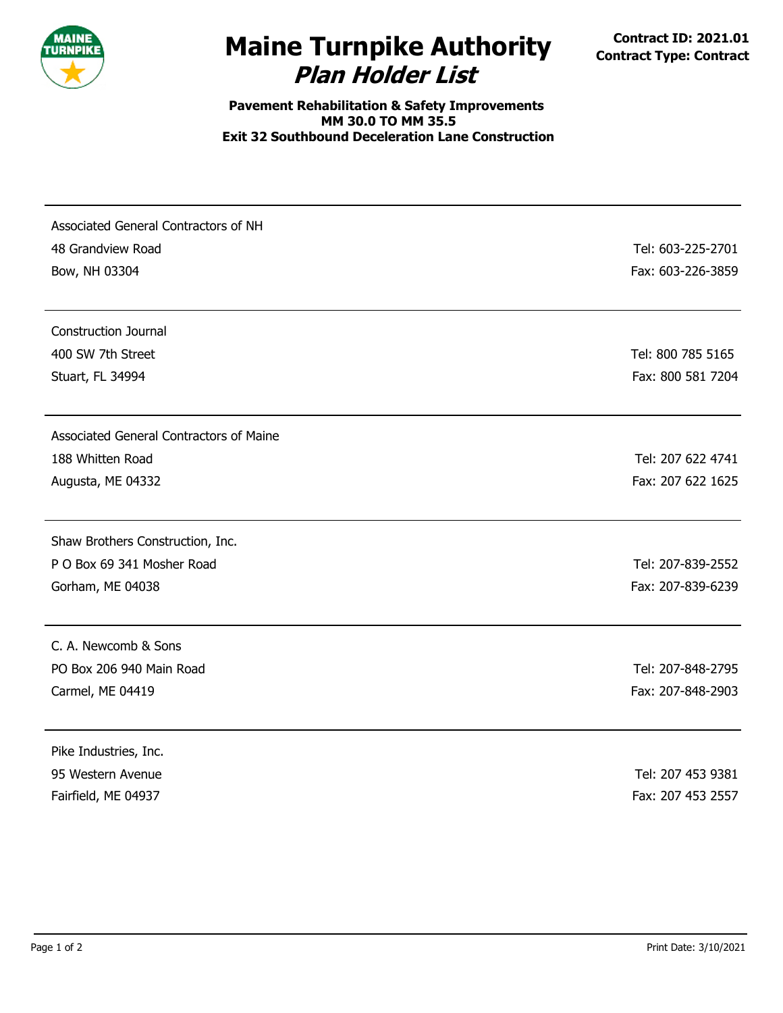

## **Plan Holder List Maine Turnpike Authority Contract ID: 2021.01 Contract** Type: Contract

**Pavement Rehabilitation & Safety Improvements MM 30.0 TO MM 35.5 Exit 32 Southbound Deceleration Lane Construction**

| Associated General Contractors of NH<br>48 Grandview Road<br>Bow, NH 03304 | Tel: 603-225-2701<br>Fax: 603-226-3859 |
|----------------------------------------------------------------------------|----------------------------------------|
| <b>Construction Journal</b>                                                |                                        |
| 400 SW 7th Street<br>Stuart, FL 34994                                      | Tel: 800 785 5165<br>Fax: 800 581 7204 |
| Associated General Contractors of Maine                                    |                                        |
| 188 Whitten Road                                                           | Tel: 207 622 4741                      |
| Augusta, ME 04332                                                          | Fax: 207 622 1625                      |
| Shaw Brothers Construction, Inc.                                           |                                        |
| P O Box 69 341 Mosher Road                                                 | Tel: 207-839-2552                      |
| Gorham, ME 04038                                                           | Fax: 207-839-6239                      |
| C. A. Newcomb & Sons                                                       |                                        |
| PO Box 206 940 Main Road                                                   | Tel: 207-848-2795                      |
| Carmel, ME 04419                                                           | Fax: 207-848-2903                      |
| Pike Industries, Inc.                                                      |                                        |
| 95 Western Avenue                                                          | Tel: 207 453 9381                      |
| Fairfield, ME 04937                                                        | Fax: 207 453 2557                      |